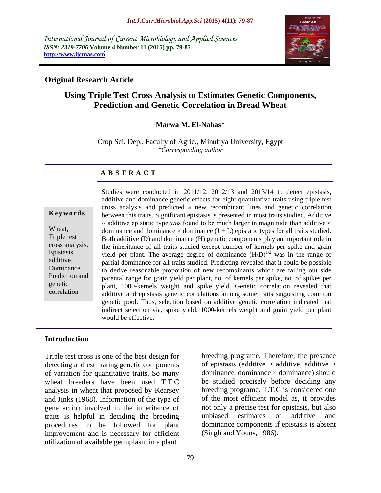International Journal of Current Microbiology and Applied Sciences *ISSN: 2319-7706* **Volume 4 Number 11 (2015) pp. 79-87 <http://www.ijcmas.com>**



## **Original Research Article**

# **Using Triple Test Cross Analysis to Estimates Genetic Components, Prediction and Genetic Correlation in Bread Wheat**

## **Marwa M. El-Nahas\***

Crop Sci. Dep., Faculty of Agric., Minufiya University, Egypt *\*Corresponding author*

### **A B S T R A C T**

correlation

Studies were conducted in 2011/12, 2012/13 and 2013/14 to detect epistasis, additive and dominance genetic effects for eight quantitative traits using triple test cross analysis and predicted a new recombinant linesand genetic correlation between this traits. Significant epistasis is presented in most traits studied. Additive **Ke ywo rds**  $\times$  additive epistatic type was found to be much larger in magnitude than additive  $\times$ Wheat, dominance and dominance  $\times$  dominance (J + L) epistatic types for all traits studied. Triple test Both additive (D) and dominance (H) genetic components play an important role in cross analysis, the inheritance of all traits studied except number of kernels per spike and grain Epistasis, yield per plant. The average degree of dominance  $(H/D)^{1/2}$  was in the range of additive, partial dominance for all traits studied. Predicting revealed that it could be possible Dominance, to derive reasonable proportion of new recombinants which are falling out side Prediction and parental range for grain yield per plant, no. of kernels per spike, no. of spikes per plant, 1000-kernels weight and spike yield. Genetic correlation revealed that genetic additive and epistasis genetic correlations among some traits suggesting common genetic pool. Thus, selection based on additive genetic correlation indicated that indirect selection via, spike yield, 1000-kernels weight and grain yield per plant would be effective.

## **Introduction**

Triple test cross is one of the best design for detecting and estimating genetic components of variation for quantitative traits. So many wheat breeders have been used T.T.C be studied precisely before deciding any analysis in wheat that proposed by Kearsey and Jinks (1968). Information of the type of gene action involved in the inheritance of not only a precise test traits is helpful in deciding the breeding unbiased estimates traits is helpful in deciding the breeding procedures to be followed for plant dominance components if epistasis is absent improvement and is necessary for efficient utilization of available germplasm in a plant

breeding programe. Therefore, the presence of epistasis (additive  $\times$  additive, additive  $\times$ dominance, dominance  $\times$  dominance) should breeding programe. T.T.C is considered one of the most efficient model as, it provides not only a precise test for epistasis, but also unbiased estimates of additive and (Singh and Youns, 1986).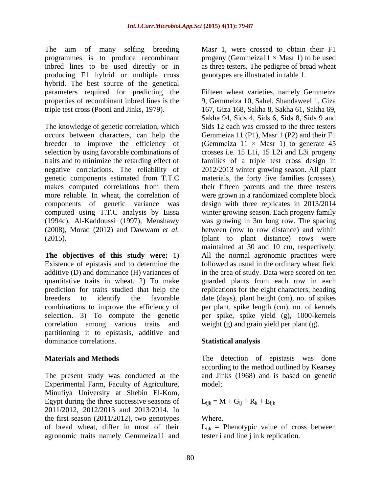The aim of many selfing breeding programmes is to produce recombinant inbred lines to be used directly or in as three testers. The pedigree of bread wheat producing F1 hybrid or multiple cross hybrid. The best source of the genetical

The knowledge of genetic correlation, which occurs between characters, can help the traits and to minimize the retarding effect of

**The objectives of this study were:** 1) correlation among various traits and partitioning it to epistasis, additive and dominance correlations. Statistical analysis

The present study was conducted at the and Jinks (1968) and is based on genetic Experimental Farm, Faculty of Agriculture, Minufiya University at Shebin El-Kom, Egypt during the three successive seasons of 2011/2012, 2012/2013 and 2013/2014. In the first season (2011/2012), two genotypes of bread wheat, differ in most of their Lijk **=** Phenotypic value of cross between agronomic traits namely Gemmeiza11 and

Masr 1, were crossed to obtain their F1 progeny (Gemmeiza $11 \times$  Masr 1) to be used genotypes are illustrated in table 1.

parameters required for predicting the Fifteen wheat varieties, namely Gemmeiza properties of recombinant inbred lines is the 9, Gemmeiza 10, Sahel, Shandaweel 1, Giza triple test cross (Pooni and Jinks, 1979). 167, Giza 168, Sakha 8, Sakha 61, Sakha 69, breeder to improve the efficiency of (Gemmeiza  $11 \times$  Masr 1) to generate 45 selection by using favorable combinations of crosses i.e. 15 L1i, 15 L2i and L3i progeny negative correlations. The reliability of 2012/2013 winter growing season. All plant genetic components estimated from T.T.C materials, the forty five families (crosses), makes computed correlations from them their fifteen parents and the three testers more reliable. In wheat, the correlation of were grown in a randomized complete block components of genetic variance was design with three replicates in 2013/2014 computed using T.T.C analysis by Eissa winter growing season. Each progeny family (1994c), Al-Kaddoussi (1997), Menshawy was growing in 3m long row. The spacing (2008), Morad (2012) and Dawwam *et al.* between (row to row distance) and within (2015). (plant to plant distance) rows were Existence of epistasis and to determine the followed as usual in the ordinary wheat field additive (D) and dominance (H) variances of in the area of study. Data were scored on ten quantitative traits in wheat. 2) To make guarded plants from each row in each prediction for traits studied that help the replications for the eight characters, heading breeders to identify the favorable date (days), plant height (cm), no. of spikes combinations to improve the efficiency of per plant, spike length (cm), no. of kernels selection. 3) To compute the genetic per spike, spike yield (g), 1000-kernels Sakha 94, Sids 4, Sids 6, Sids 8, Sids 9 and Sids 12 each was crossed to the three testers Gemmeiza 11 (P1), Masr 1 (P2) and their F1 families of a triple test cross design in maintained at <sup>30</sup> and <sup>10</sup> cm, respectively. All the normal agronomic practices were weight (g) and grain yield per plant (g).

# **Statistical analysis**

**Materials and Methods** The detection of epistasis was done according to the method outlined by Kearsey model; where  $\mathcal{L}$  is a set of  $\mathcal{L}$  is a set of  $\mathcal{L}$  is a set of  $\mathcal{L}$  is a set of  $\mathcal{L}$  is a set of  $\mathcal{L}$  is a set of  $\mathcal{L}$  is a set of  $\mathcal{L}$  is a set of  $\mathcal{L}$  is a set of  $\mathcal{L}$  is a set of

$$
L_{ijk} = M + G_{ij} + R_k + E_{ijk}
$$

# Where,

tester i and line j in k replication.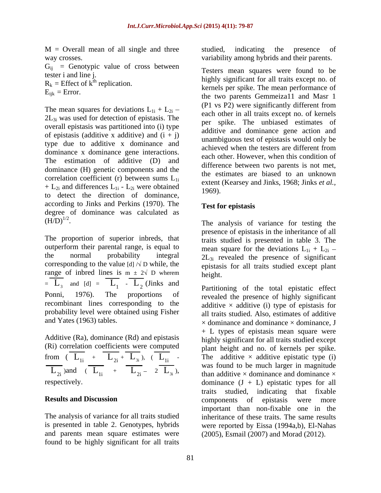M = Overall mean of all single and three studied, indicating the presence of way crosses. variability among hybrids and their parents.

 $G_{ij}$  = Genotypic value of cross between tester i and line j.

 $R_k$  = Effect of  $\ddot{k}$ <sup>th</sup> replication.

The mean squares for deviations  $L_{1i} + L_{2i}$  –  $2L_{3i}$  was used for detection of epistasis. The overall epistasis was partitioned into (i) type of epistasis (additive x additive) and  $(i + j)$ type due to additive x dominance and achieved when the testers are different from dominance x dominance gene interactions. The estimation of additive (D) and dominance (H) genetic components and the correlation coefficient (r) between sums  $L_{1i}$ +  $L_{2i}$  and differences  $L_{1i}$  -  $L_{2i}$  were obtained  $1969$ . to detect the direction of dominance, according to Jinks and Perkins (1970). The degree of dominance was calculated as  $(H/D)^{1/2}$ .

outperform their parental range, is equal to corresponding to the value [d]  $\sqrt{D}$  while, the range of inbred lines is  $m \pm 2\sqrt{D}$  wherem height.  $=$   $\overline{L_3}$  and  $[d] = \overline{L_1} - \overline{L_2}$  (Jinks and <br>Partitioning of the total enjetatic effect recombinant lines corresponding to the probability level were obtained using Fisher

Additive (Ra), dominance (Rd) and epistasis (Ri) correlation coefficients were computed from  $(\overline{L_{1i}} + \overline{L_{2i}} + \overline{L_{3i}}), (\overline{L_{1i}} \overline{L_{2i}}$  )and  $\overline{(L_{1i} + L_{2i} - 2L_{3i})}$ ,

found to be highly significant for all traits

studied, indicating the presence of

tester i and line j.<br>
highly significant for all traits except no. of<br>
highly significant for all traits except no. of  $E_{ijk}$  = Error.<br>the two parents Gemmeiza11 and Masr 1 Testers mean squares were found to be kernels per spike. The mean performance of (P1 vs P2) were significantly different from each other in all traits except no. of kernels per spike. The unbiased estimates of additive and dominance gene action and unambiguous test of epistasis would only be achieved when the testers are different from each other. However, when this condition of difference between two parents is not met, the estimates are biased to an unknown extent (Kearsey and Jinks, 1968; Jinks *et al.,* 1969).

## **Test for epistasis**

 $(H/D)^{1/2}$ . The analysis of variance for testing the  $(H/D)^{1/2}$ .<br>The analysis of variance for testing the<br>presence of epistasis in the inheritance of all<br>traits studied is presented in table 3. The the normal probability integral  $2L_{3i}$  revealed the presence of significant presence of epistasis in the inheritance of all traits studied is presented in table 3. The mean square for the deviations  $L_{1i} + L_{2i}$  – epistasis for all traits studied except plant height. The contract of the contract of the contract of the contract of the contract of the contract of the contract of the contract of the contract of the contract of the contract of the contract of the contract of the co

 $L_1$  -  $L_2$  (Jinks and Partitioning of the total epistatic effect  $L_2$  (Jinks and portitioning of the total opinionic offect Ponni, 1976). The proportions of revealed the presence of highly significant and Yates (1963) tables.  $\times$  dominance and dominance  $\times$  dominance, J  $\overline{L_{2i}} + \overline{L_{3i}}$ ),  $\overline{(L_{1i}}$  - The additive  $\times$  additive epistatic type (i)  $\overline{L_{2i}}$ ) and  $\overline{L_{1i}}$  +  $\overline{L_{2i}}$  - 2  $\overline{L_{3i}}$ ), was found to be finite ranger in inaginative  $\times$  dominance and dominance  $\times$  dominance  $(J + L)$  epistatic types for all **Results and Discussion** components of epistasis were more The analysis of variance for all traits studied inheritance of these traits. The same results is presented in table 2. Genotypes, hybrids were reported by Eissa (1994a,b), El-Nahas and parents mean square estimates were (2005), Esmail (2007) and Morad (2012). additive  $\times$  additive (i) type of epistasis for all traits studied. Also, estimates of additive + L types of epistasis mean square were highly significant for all traits studied except plant height and no. of kernels per spike. The additive  $\times$  additive epistatic type (i) was found to be much larger in magnitude than additive  $\times$  dominance and dominance  $\times$ dominance  $(J + L)$  epistatic types for all traits studied, indicating that fixable components of epistasis were more important than non-fixable one in the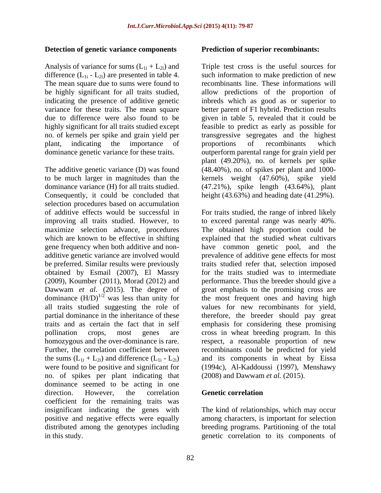## **Detection of genetic variance components**

Analysis of variance for sums  $(L_{1i} + L_{2i})$  and difference  $(L_{1i} - L_{2i})$  are presented in table 4. The mean square due to sums were found to plant, indicating the importance of proportions of recombinants which dominance genetic variance for these traits.

The additive genetic variance (D) was found (48.40%), no. of spikes per plant and 1000 to be much larger in magnitudes than the kernels weight (47.60%), spike yield dominance variance (H) for all traits studied. (47.21%), spike length (43.64%), plant Consequently, it could be concluded that selection procedures based on accumulation (2009), Koumber (2011), Morad (2012) and dominance  $(H/D)^{1/2}$  was less than unity for the sums  $(L_{1i} + L_{2i})$  and difference  $(L_{1i} - L_{2i})$ <br>were found to be positive and significant for no. of spikes per plant indicating that dominance seemed to be acting in one direction. However, the correlation **Genetic correlation** coefficient for the remaining traits was insignificant indicating the genes with positive and negative effects were equally among characters, is important for selection distributed among the genotypes including

### **Prediction of superior recombinants:**

be highly significant for all traits studied, allow predictions of the proportion of indicating the presence of additive genetic inbreds which as good as or superior to variance for these traits. The mean square better parent of F1 hybrid. Prediction results due to difference were also found to be given in table 5, revealed that it could be highly significant for all traits studied except feasible to predict as early as possible for no. of kernels per spike and grain yield per transgressive segregates and the highest Triple test cross is the useful sources for such information to make prediction of new recombinants line. These informations will proportions of recombinants which outperform parental range for grain yield per plant (49.20%), no. of kernels per spike height (43.63%) and heading date (41.29%).

of additive effects would be successful in For traits studied, the range of inbred likely improving all traits studied. However, to to exceed parental range was nearly 40%. maximize selection advance, procedures The obtained high proportion could be which are known to be effective in shifting explained that the studied wheat cultivars gene frequency when both additive and non- have common genetic pool, and the additive genetic variance are involved would prevalence of additive gene effects for most be preferred. Similar results were previously traits studied refer that, selection imposed obtained by Esmail (2007), El Massry for the traits studied was to intermediate Dawwam *et al.* (2015). The degree of great emphasis to the promising cross are was less than unity for the most frequent ones and having high all traits studied suggesting the role of values for new recombinants for yield, partial dominance in the inheritance of these therefore, the breeder should pay great traits and as certain the fact that in self emphasis for considering these promising pollination crops, most genes are cross in wheat breeding program. In this homozygous and the over-dominance is rare. The respect, a reasonable proportion of new Further, the correlation coefficient between recombinants could be predicted for yield were found to be positive and significant for (1994c), Al-Kaddoussi (1997), Menshawy performance. Thus the breeder should give a and its components in wheat by Eissa (2008) and Dawwam *et al.* (2015).

## **Genetic correlation**

in this study. genetic correlation to its components ofThe kind of relationships, which may occur breeding programs. Partitioning of the total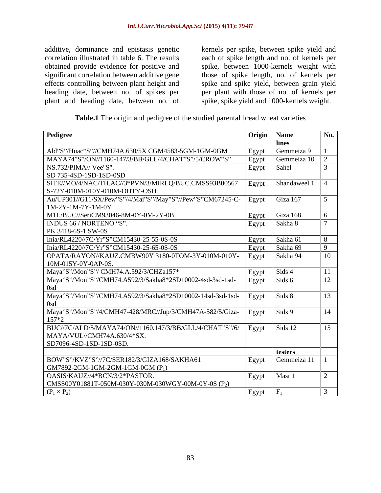additive, dominance and epistasis genetic kernels per spike, between spike yield and correlation illustrated in table 6. The results each of spike length and no. of kernels per obtained provide evidence for positive and spike, between 1000-kernels weight with significant correlation between additive gene those of spike length, no. of kernels per effects controlling between plant height and spike and spike yield, between grain yield heading date, between no. of spikes per per plant with those of no. of kernels per plant and heading date, between no. of

spike, spike yield and 1000-kernels weight.

**Table.1** The origin and pedigree of the studied parental bread wheat varieties

| Pedigree                                                                                                                           | Origin        | Name         |  |
|------------------------------------------------------------------------------------------------------------------------------------|---------------|--------------|--|
|                                                                                                                                    |               | lines        |  |
| Ald"S"/Huac"S"//CMH74A.630/5X CGM4583-5GM-1GM-0GM                                                                                  | Egypt         | Gemmeiza 9   |  |
| MAYA74"S"/ON//1160-147/3/BB/GLL/4/CHAT"S"/5/CROW"S".                                                                               | Egypt         | Gemmeiza 10  |  |
| NS.732/PIMA// Vee"S".                                                                                                              | Egypt         | Sahel        |  |
| SD 735-4SD-1SD-1SD-0SD                                                                                                             |               |              |  |
| SITE//MO/4/NAC/TH.AC//3*PVN/3/MIRLQ/BUC.CMSS93B00567<br>S-72Y-010M-010Y-010M-OHTY-OSH                                              | $\vert$ Egypt | Shandaweel 1 |  |
| Au/UP301//G11/SX/Pew"S"/4/Mai"S"/May"S"//Pew"S"CM67245-C- Egypt<br>$1M-2Y-1M-7Y-1M-0Y$                                             |               | Giza 167     |  |
| M1L/BUC//SeriCM93046-8M-0Y-0M-2Y-0B                                                                                                | Egypt         | Giza 168     |  |
| INDUS 66 / NORTENO "S".                                                                                                            | Egypt         | Sakha 8      |  |
| PK 3418-6S-1 SW-0S                                                                                                                 |               |              |  |
| Inia/RL4220//7C/Yr"S"CM15430-25-55-0S-0S                                                                                           | Egypt         | Sakha 61     |  |
| Inia/RL4220//7C/Yr"S"CM15430-25-65-0S-0S                                                                                           | Egypt         | Sakha 69     |  |
| OPATA/RAYON//KAUZ.CMBW90Y 3180-0TOM-3Y-010M-010Y-<br>10M-015Y-0Y-0AP-0S.                                                           | Egypt         | Sakha 94     |  |
| Maya"S"/Mon"S"/ CMH74.A.592/3/CHZa157*                                                                                             | Egypt         | Sids 4       |  |
| Maya"S"/Mon"S"/CMH74.A592/3/Sakha8*2SD10002-4sd-3sd-1sd-                                                                           | Egypt         | Sids 6       |  |
| Maya"S"/Mon"S"/CMH74.A592/3/Sakha8*2SD10002-14sd-3sd-1sd- Egypt Sids 8                                                             |               |              |  |
| Maya"S"/Mon"S"/4/CMH47-428/MRC//Jup/3/CMH47A-582/5/Giza-   Egypt   Sids 9<br>$157*2$                                               |               |              |  |
| BUC//7C/ALD/5/MAYA74/ON//1160.147/3/BB/GLL/4/CHAT"S"/6/   Egypt   Sids 12<br>MAYA/VUL//CMH74A.630/4*SX.<br>SD7096-4SD-1SD-1SD-0SD. |               |              |  |
|                                                                                                                                    |               | testers      |  |
| BOW"S"/KVZ"S"//7C/SER182/3/GIZA168/SAKHA61<br>$\vert$ GM7892-2GM-1GM-2GM-1GM-0GM (P <sub>1</sub> )                                 | Egypt         | Gemmeiza 11  |  |
| OASIS/KAUZ//4*BCN/3/2*PASTOR.<br>CMSS00Y01881T-050M-030Y-030M-030WGY-00M-0Y-0S (P <sub>2</sub> )                                   | Egypt         | Masr 1       |  |
| $(P_1 \times P_2)$                                                                                                                 | Egypt         |              |  |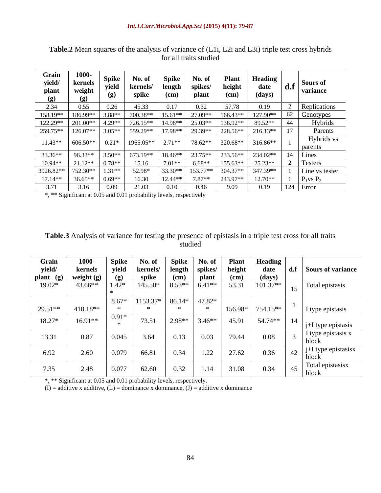| Grain<br>yield/<br>plant<br>(g) | <b>1000-</b><br>kernels<br>weight<br>(g) | <b>Spike</b><br>yield<br>(g) | No. of<br>kernels/<br>spike | Spike<br>length<br>$(cm)$ | No. of<br>spikes/<br>plant | <b>Plant</b><br>height<br>$(cm)$ | <b>Heading</b><br>date<br>(days) | d.f | Sours of<br>variance  |
|---------------------------------|------------------------------------------|------------------------------|-----------------------------|---------------------------|----------------------------|----------------------------------|----------------------------------|-----|-----------------------|
| 2.34                            | 0.55                                     | 0.26                         | 45.33                       | 0.17                      | 0.32                       | 57.78                            | 0.19                             |     | Replications          |
| 158.19**                        | 186.99**                                 | 3.88**                       | 700.38**                    | $15.61**$                 | 27.09*                     | $166.43**$                       | 127.90**                         | 62  | Genotypes             |
| 122.29**                        | 201.00**                                 | $4.29**$                     | 726.15**                    | 14.98**                   | 25.03**                    | 138.92**                         | 89.52**                          | 44  | Hybrids               |
| 259.75**                        | 126.07**                                 | $3.05**$                     | 559.29**                    | 17.98**                   | 29.39**                    | 228.56**                         | 216.13**                         | 17  | Parents               |
| $11.43**$                       | $606.50**$                               | $0.21*$                      | 1965.05**                   | $2.71**$                  | 78.62**                    | 320.68**                         | 316.86**                         |     | Hybrids vs<br>parents |
| 33.36**                         | 96.33**                                  | $3.50**$                     | 673.19**                    | 18.46**                   | 23.75**                    | 233.56**                         | 234.02**                         | 14  | Lines                 |
| 10.94**                         | $21.12**$                                | $0.78**$                     | 15.16                       | $7.01**$                  | $6.68**$                   | 155.63**                         | 25.23**                          |     | Testers               |
| 3926.82**                       | 752.30**                                 | $1.31**$                     | 52.98*                      | 33.30**                   | 153.77**                   | 304.37**                         | 347.39**                         |     | Line vs tester        |
| $17.14**$                       | 36.65**                                  | $0.69**$                     | 16.30                       | 12.44**                   | 7.87**                     | 243.97**                         | $12.70**$                        |     | $P_1$ vs $P_2$        |
| 3.71                            | 3.16                                     | 0.09                         | 21.03                       | 0.10                      | 0.46                       | 9.09                             | 0.19                             | 124 | Error                 |

Table.2 Mean squares of the analysis of variance of (L1i, L2i and L3i) triple test cross hybrids for all traits studied for all traits studied

\*, \*\* Significant at 0.05 and 0.01 probability levels, respectively

| Table.3<br>traits<br>of variance for testing the presence of epistasis in a<br>, a triple test cross $\tau$<br>s tor al<br>Analysis : |  |
|---------------------------------------------------------------------------------------------------------------------------------------|--|
| udied                                                                                                                                 |  |

| Grain     | 1000-        | <b>Spike</b> | No. of   | <b>Spike</b> | No. of   | <b>Plant</b> | <b>Heading</b> |     |                                    |
|-----------|--------------|--------------|----------|--------------|----------|--------------|----------------|-----|------------------------------------|
| yield/    | kernels      | yield        | kernels/ | length       | spikes/  | height       | date           | d.f | Sours of variance                  |
| plant (g) | weight $(g)$ | (g)          | spike    | (cm)         | plant    | (cm)         | (days)         |     |                                    |
| 19.02*    | 43.66**      | $1.42*$      | 145.50   | $8.53**$     | $6.41**$ | 53.31        | $101.37**$     | 15  | Total epistasis                    |
|           |              | $8.67*$      | 1153.37* | 86.14*       | 47.82*   |              |                |     |                                    |
| $29.51**$ | 418.18**     |              |          |              |          | 156.98*      | 754.15**       |     | I type epistasis                   |
| 18.27*    | $16.91**$    | $0.91*$      | 73.51    | $2.98**$     | $3.46**$ | 45.91        | 54.74**        | 14  | j+I type epistasis                 |
| 13.31     | 0.87         | 0.045        | 3.64     | 0.13         | 0.03     | 79.44        | 0.08           |     | I type epistasis x<br>block        |
| 6.92      | 2.60         | 0.079        | 66.81    | 0.34         | 1.22     | 27.62        | 0.36           | 42  | $\pm$ i+I type epistasisx<br>block |
| 7.35      | 2.48         | 0.077        | 62.60    | 0.32         | 1.14     | 31.08        | 0.34           | 45  | Total epistasisx<br>block          |

\*, \*\* Significant at 0.05 and 0.01 probability levels, respectively.

 $(I) =$  additive x additive,  $(L) =$  dominance x dominance,  $(I) =$  additive x dominance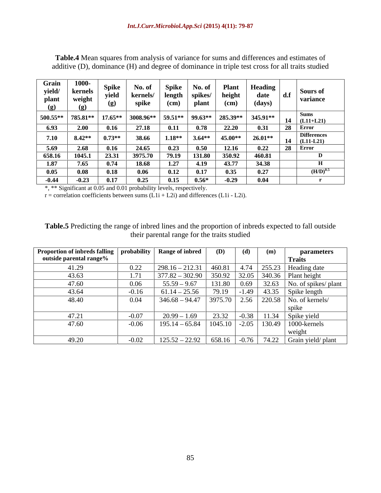| Grain<br>yield/<br>plant<br>(g) | 1000-<br>$\begin{array}{c c} \prime & \text{kernels} \ \text{weight} & \text{(g)} \end{array}$ | <b>Spike</b><br>yield | No. of<br>kernels/ | Spike<br>length | No. of<br>spikes/ | <b>Plant</b><br>height | Heading<br>date  | Sours of<br>  variance                |
|---------------------------------|------------------------------------------------------------------------------------------------|-----------------------|--------------------|-----------------|-------------------|------------------------|------------------|---------------------------------------|
|                                 |                                                                                                | (g)                   | spike              | $\epsilon$ (cm) | plant             | (cm)                   | (days)           |                                       |
| $500.55**$ 785.81**<br>6.93     | 2.00                                                                                           | $17.65**$<br>0.16     | 3008.96**<br>27.18 | 59.51**<br>0.11 | 99.63**<br>0.78   | 285.39**<br>22.20      | 345.91**<br>0.31 | 14<br>$ $ (L11+L21)<br>  Error<br>-28 |
| 7.10 $8.42**$                   |                                                                                                | $0.73**$              | 38.66              | $1.18**$        | $3.64**$          | 45.00**                | $26.01**$        | Difference<br>$(L11-L21)$<br>14       |
| $\frac{5.69}{658.16}$           | 2.68                                                                                           | 0.16                  | 24.65              | 0.23            | 0.50              | 12.16                  | 0.22             | $28$ Error                            |
|                                 | 1045.1                                                                                         | 23.31                 | 3975.70            | 79.19           | 131.80            | 350.92                 | 460.81           |                                       |
| 1.87                            | 7.65                                                                                           | 0.74                  | 18.68              | 1.27            | 4.19              | 43.77                  | 34.38            |                                       |
| 0.05                            | 0.08                                                                                           | 0.18                  | 0.06               | 0.12            | 0.17              | 0.35                   | 0.27             | $(H/D)^{0.5}$                         |
| $-0.44$                         | $\frac{1}{20.23}$                                                                              | 0.17                  | 0.25               | 0.15            | $0.56*$           | $-0.29$                | 0.04             |                                       |

**Table.4** Mean squares from analysis of variance for sums and differences and estimates of additive (D), dominance (H) and degree of dominance in triple test cross for all traits studied

\*, \*\* Significant at 0.05 and 0.01 probability levels, respectively.

 $r =$  correlation coefficients between sums  $(L1i + L2i)$  and differences  $(L1i - L2i)$ .

**Table.5** Predicting the range of inbred lines and the proportion of inbreds expected to fall outside their parental range for the traits studied

| Proportion of inbreds falling   probability   Range of inbred   (D)   (d)   (m) |         |                |  |  | parameters                                                          |
|---------------------------------------------------------------------------------|---------|----------------|--|--|---------------------------------------------------------------------|
| outside parental range%                                                         |         |                |  |  | <b>Traits</b>                                                       |
| 41.29                                                                           |         |                |  |  | $\mid$ 298.16 – 212.31   460.81   4.74   255.23   Heading date      |
| 43.63                                                                           |         |                |  |  | $377.82 - 302.90$ 350.92 32.05 340.36 Plant height                  |
| 47.60                                                                           |         |                |  |  | $\sqrt{55.59 - 9.67}$   131.80   0.69   32.63   No. of spikes/plant |
| 43.64                                                                           | $-0.16$ |                |  |  | 61.14 – 25.56 79.19 -1.49 43.35 Spike length                        |
| 48.40                                                                           |         |                |  |  | 346.68 – 94.47   3975.70   2.56   220.58   No. of kernels/          |
|                                                                                 |         |                |  |  |                                                                     |
| 47.21                                                                           |         | $20.99 - 1.69$ |  |  | 23.32   -0.38   11.34   Spike yield                                 |
| 47.60                                                                           |         |                |  |  | 195.14 – 65.84   1045.10   -2.05   130.49   1000-kernels            |
|                                                                                 |         |                |  |  |                                                                     |
| 49.20                                                                           |         |                |  |  | 125.52 - 22.92   658.16   -0.76   74.22   Grain yield/ plant        |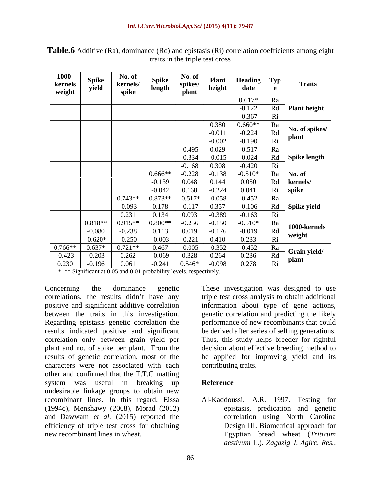| 1000-<br>kernels<br>weight | <b>Spike</b><br>yield | No. of<br>kernels/<br>spike | ${\bf Spike}$<br>length | No. of<br>spikes/<br>plant | <b>Plant</b><br>height | <b>Heading</b> $\boxed{\text{Typ}}$<br>date | e                                | <b>Traits</b>           |
|----------------------------|-----------------------|-----------------------------|-------------------------|----------------------------|------------------------|---------------------------------------------|----------------------------------|-------------------------|
|                            |                       |                             |                         |                            |                        | $0.617*$<br>$-0.122$                        | Ra<br>Rd                         | Plant height            |
|                            |                       |                             |                         |                            |                        | $-0.367$                                    | Ri                               |                         |
|                            |                       |                             |                         |                            | 0.380                  | $0.660**$                                   | Ra                               |                         |
|                            |                       |                             |                         |                            | $-0.011$<br>$-0.002$   | $-0.224$<br>$-0.190$                        | $\mathop{\rm Rd}\nolimits$<br>Ri | No. of spikes/<br>plant |
|                            |                       |                             |                         | $-0.495$                   | 0.029                  | $-0.517$                                    | Ra                               |                         |
|                            |                       |                             |                         | $-0.334$                   | $-0.015$               | $-0.024$                                    | Rd                               | Spike length            |
|                            |                       |                             |                         | $-0.168$                   | 0.308                  | $-0.420$                                    | Ri                               |                         |
|                            |                       |                             | $0.666**$               | $-0.228$                   | $-0.138$               | $-0.510*$                                   | Ra                               | No. of                  |
|                            |                       |                             | $-0.139$<br>$-0.042$    | 0.048<br>0.168             | 0.144<br>$-0.224$      | 0.050<br>0.041                              | Ri                               | Rd   kernels/<br>spike  |
|                            |                       | $0.743**$                   | $0.873**$               | $-0.517*$                  | $-0.058$               | $-0.452$                                    | Ra                               |                         |
|                            |                       | $-0.093$                    | 0.178                   | $-0.117$                   | 0.357                  | $-0.106$                                    | Rd                               | Spike yield             |
|                            |                       | 0.231                       | 0.134                   | 0.093                      | $-0.389$               | $-0.163$                                    | Ri                               |                         |
|                            | $0.818**$<br>$-0.080$ | $0.915**$<br>$-0.238$       | $0.800**$<br>0.113      | $-0.256$<br>0.019          | $-0.150$<br>$-0.176$   | $-0.510*$<br>$-0.019$                       | Ra<br>Rd                         | $1000$ -kernels         |
|                            | $-0.620*$             | $-0.250$                    | $-0.003$                | $-0.221$                   | 0.410                  | 0.233                                       | Ri                               | weight                  |
| $0.766**$                  | $0.637*$              | $0.721**$                   | 0.467                   | $-0.005$                   | $-0.352$               | $-0.452$                                    | Ra                               | Grain yield/            |
| $-0.423$<br>0.230          | $-0.203$<br>$-0.196$  | 0.262<br>0.061              | $-0.069$<br>$-0.241$    | 0.328<br>$0.546*$          | 0.264<br>$-0.098$      | 0.236<br>0.278                              | Rd<br>Ri                         | plant                   |

**Table.6** Additive (Ra), dominance (Rd) and epistasis (Ri) correlation coefficients among eight traits in the triple test cross

\*, \*\* Significant at 0.05 and 0.01 probability levels, respectively.

Concerning the dominance genetic These investigation was designed to use correlations, the results didn't have any triple test cross analysis to obtain additional positive and significant additive correlation information about type of gene actions, between the traits in this investigation. genetic correlation and predicting the likely Regarding epistasis genetic correlation the performance of new recombinants that could results indicated positive and significant be derived after series of selfing generations. correlation only between grain yield per Thus, this study helps breeder for rightful plant and no. of spike per plant. From the decision about effective breeding method to results of genetic correlation, most of the be applied for improving yield and its characters were not associated with each other and confirmed that the T.T.C matting system was useful in breaking up Reference undesirable linkage groups to obtain new recombinant lines. In this regard, Eissa (1994c), Menshawy (2008), Morad (2012) and Dawwam *et al.* (2015) reported the efficiency of triple test cross for obtaining

contributing traits.

## **Reference**

new recombinant lines in wheat. Egyptian bread wheat (*Triticum*  Al-Kaddoussi, A.R. 1997. Testing for epistasis, predication and genetic correlation using North Carolina Design III. Biometrical approach for *aestivum* L.). *Zagazig J. Agirc. Res.,*